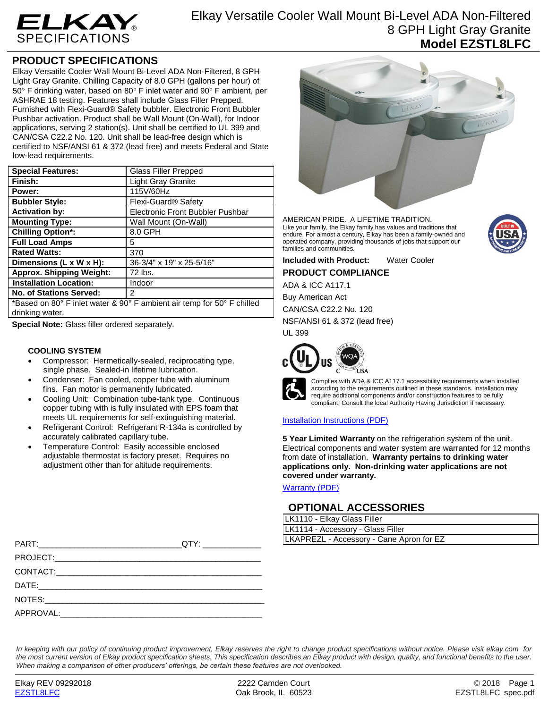

## **PRODUCT SPECIFICATIONS**

Elkay Versatile Cooler Wall Mount Bi-Level ADA Non-Filtered, 8 GPH Light Gray Granite. Chilling Capacity of 8.0 GPH (gallons per hour) of  $50^\circ$  F drinking water, based on  $80^\circ$  F inlet water and  $90^\circ$  F ambient, per ASHRAE 18 testing. Features shall include Glass Filler Prepped. Furnished with Flexi-Guard® Safety bubbler. Electronic Front Bubbler Pushbar activation. Product shall be Wall Mount (On-Wall), for Indoor applications, serving 2 station(s). Unit shall be certified to UL 399 and CAN/CSA C22.2 No. 120. Unit shall be lead-free design which is certified to NSF/ANSI 61 & 372 (lead free) and meets Federal and State low-lead requirements.

| <b>Special Features:</b>                                               | <b>Glass Filler Prepped</b>             |  |
|------------------------------------------------------------------------|-----------------------------------------|--|
| Finish:                                                                | <b>Light Gray Granite</b>               |  |
| Power:                                                                 | 115V/60Hz                               |  |
| <b>Bubbler Style:</b>                                                  | Flexi-Guard <sup>®</sup> Safety         |  |
| <b>Activation by:</b>                                                  | <b>Electronic Front Bubbler Pushbar</b> |  |
| <b>Mounting Type:</b>                                                  | Wall Mount (On-Wall)                    |  |
| <b>Chilling Option*:</b>                                               | 8.0 GPH                                 |  |
| <b>Full Load Amps</b>                                                  | 5                                       |  |
| <b>Rated Watts:</b>                                                    | 370                                     |  |
| Dimensions (L x W x H):                                                | 36-3/4" x 19" x 25-5/16"                |  |
| <b>Approx. Shipping Weight:</b>                                        | 72 lbs.                                 |  |
| <b>Installation Location:</b>                                          | Indoor                                  |  |
| <b>No. of Stations Served:</b>                                         | 2                                       |  |
| *Based on 80° F inlet water & 90° F ambient air temp for 50° F chilled |                                         |  |
| drinking water.                                                        |                                         |  |

**Special Note:** Glass filler ordered separately.

### **COOLING SYSTEM**

- Compressor: Hermetically-sealed, reciprocating type, single phase. Sealed-in lifetime lubrication.
- Condenser: Fan cooled, copper tube with aluminum fins. Fan motor is permanently lubricated.
- Cooling Unit: Combination tube-tank type. Continuous copper tubing with is fully insulated with EPS foam that meets UL requirements for self-extinguishing material.
- Refrigerant Control: Refrigerant R-134a is controlled by accurately calibrated capillary tube.
- Temperature Control: Easily accessible enclosed adjustable thermostat is factory preset. Requires no adjustment other than for altitude requirements.

| $\epsilon$ | Ø<br>¢,                                    |  |
|------------|--------------------------------------------|--|
|            | E1KAY<br>$\overline{\phantom{a}}$<br>ELKAY |  |
|            |                                            |  |
|            |                                            |  |

AMERICAN PRIDE. A LIFETIME TRADITION. Like your family, the Elkay family has values and traditions that endure. For almost a century, Elkay has been a family-owned and operated company, providing thousands of jobs that support our families and communities.

**Included with Product:** Water Cooler **PRODUCT COMPLIANCE**

ADA & ICC A117.1

Buy American Act

CAN/CSA C22.2 No. 120 NSF/ANSI 61 & 372 (lead free)

UL 399





Complies with ADA & ICC A117.1 accessibility requirements when installed according to the requirements outlined in these standards. Installation may require additional components and/or construction features to be fully compliant. Consult the local Authority Having Jurisdiction if necessary.

### [Installation Instructions \(PDF\)](http://www.elkay.com/wcsstore/lkdocs/care-cleaning-install-warranty-sheets/1000003116.pdf)

**5 Year Limited Warranty** on the refrigeration system of the unit. Electrical components and water system are warranted for 12 months from date of installation. **Warranty pertains to drinking water applications only. Non-drinking water applications are not covered under warranty.**

[Warranty](http://www.elkay.com/wcsstore/lkdocs/care-cleaning-install-warranty-sheets/96993c.pdf) (PDF)

## **OPTIONAL ACCESSORIES**

| LK1110 - Elkay Glass Filler              |
|------------------------------------------|
| LK1114 - Accessory - Glass Filler        |
| LKAPREZL - Accessory - Cane Apron for EZ |

|           | OTY:                                                                                                                  | LKAPREZL - Accessory - Cane Apron for EZ |
|-----------|-----------------------------------------------------------------------------------------------------------------------|------------------------------------------|
|           |                                                                                                                       |                                          |
|           |                                                                                                                       |                                          |
|           |                                                                                                                       |                                          |
| NOTES:    | <u> 1989 - Johann Stein, marwolaethau a bhann an t-Amhain ann an t-Amhain an t-Amhain an t-Amhain an t-Amhain an </u> |                                          |
| APPROVAL: |                                                                                                                       |                                          |

*In keeping with our policy of continuing product improvement, Elkay reserves the right to change product specifications without notice. Please visit elkay.com for the most current version of Elkay product specification sheets. This specification describes an Elkay product with design, quality, and functional benefits to the user. When making a comparison of other producers' offerings, be certain these features are not overlooked.*